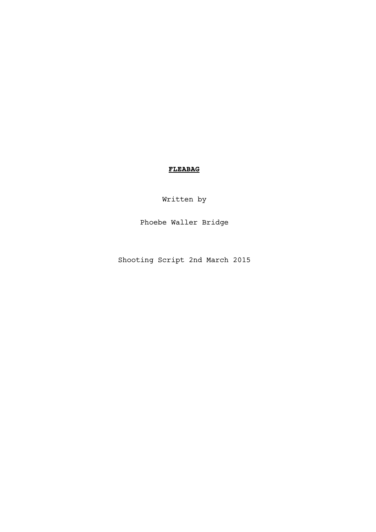# FLEABAG

Written by

Phoebe Waller Bridge

Shooting Script 2nd March 2015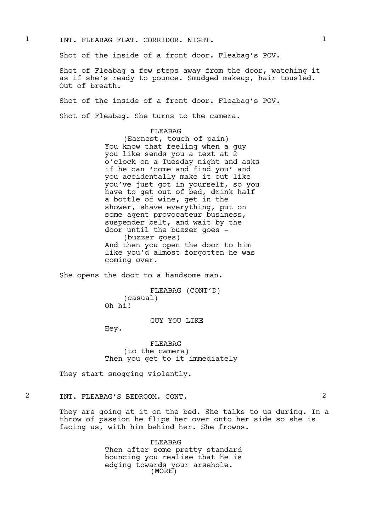Shot of the inside of a front door. Fleabag's POV.

Shot of Fleabag a few steps away from the door, watching it as if she's ready to pounce. Smudged makeup, hair tousled. Out of breath.

Shot of the inside of a front door. Fleabag's POV.

Shot of Fleabag. She turns to the camera.

FLEABAG (Earnest, touch of pain) You know that feeling when a guy you like sends you a text at 2 o'clock on a Tuesday night and asks if he can 'come and find you' and you accidentally make it out like you've just got in yourself, so you have to get out of bed, drink half a bottle of wine, get in the shower, shave everything, put on some agent provocateur business, suspender belt, and wait by the door until the buzzer goes - (buzzer goes)

And then you open the door to him like you'd almost forgotten he was coming over.

She opens the door to a handsome man.

FLEABAG (CONT'D) (casual) Oh hi!

GUY YOU LIKE

Hey.

FLEABAG (to the camera) Then you get to it immediately

They start snogging violently.

2 2 INT. FLEABAG'S BEDROOM. CONT.

They are going at it on the bed. She talks to us during. In a throw of passion he flips her over onto her side so she is facing us, with him behind her. She frowns.

> FLEABAG Then after some pretty standard bouncing you realise that he is edging towards your arsehole. (MORE)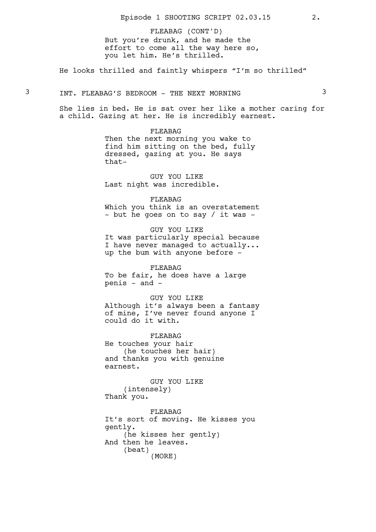But you're drunk, and he made the effort to come all the way here so, you let him. He's thrilled. FLEABAG (CONT'D)

He looks thrilled and faintly whispers "I'm so thrilled"

3 3 INT. FLEABAG'S BEDROOM - THE NEXT MORNING

She lies in bed. He is sat over her like a mother caring for a child. Gazing at her. He is incredibly earnest.

> FLEABAG Then the next morning you wake to find him sitting on the bed, fully dressed, gazing at you. He says that-

GUY YOU LIKE Last night was incredible.

FLEABAG Which you think is an overstatement - but he goes on to say / it was -

GUY YOU LIKE It was particularly special because I have never managed to actually... up the bum with anyone before –

FLEABAG To be fair, he does have a large penis - and -

GUY YOU LIKE Although it's always been a fantasy of mine, I've never found anyone I could do it with.

FLEABAG He touches your hair (he touches her hair) and thanks you with genuine earnest.

GUY YOU LIKE (intensely) Thank you.

FLEABAG It's sort of moving. He kisses you gently. (he kisses her gently) And then he leaves. (beat) (MORE)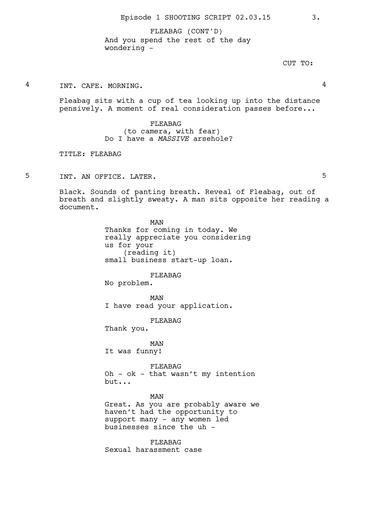FLEABAG (CONT'D)

And you spend the rest of the day wondering –

CUT TO:

## 4 4 INT. CAFE. MORNING.

Fleabag sits with a cup of tea looking up into the distance pensively. A moment of real consideration passes before...

> FLEABAG (to camera, with fear) Do I have a *MASSIVE* arsehole?

TITLE: FLEABAG

5 5 INT. AN OFFICE. LATER.

Black. Sounds of panting breath. Reveal of Fleabag, out of breath and slightly sweaty. A man sits opposite her reading a document.

> MAN Thanks for coming in today. We really appreciate you considering us for your (reading it) small business start-up loan.

> > FLEABAG

No problem.

MAN I have read your application.

FLEABAG

Thank you.

MAN It was funny!

FLEABAG Oh - ok - that wasn't my intention but...

## MAN

Great. As you are probably aware we haven't had the opportunity to support many - any women led businesses since the uh -

FLEABAG

Sexual harassment case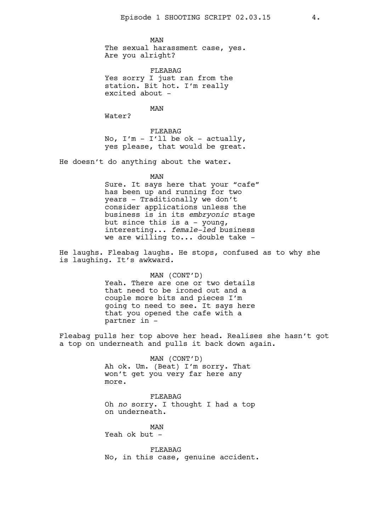MAN The sexual harassment case, yes. Are you alright?

FLEABAG Yes sorry I just ran from the station. Bit hot. I'm really excited about -

MAN

Water?

FLEABAG No,  $I'm - I'll$  be ok - actually, yes please, that would be great.

He doesn't do anything about the water.

MAN

Sure. It says here that your "cafe" has been up and running for two years - Traditionally we don't consider applications unless the business is in its embryonic stage but since this is a - young, interesting... female-led business we are willing to... double take -

He laughs. Fleabag laughs. He stops, confused as to why she is laughing. It's awkward.

> MAN (CONT'D) Yeah. There are one or two details that need to be ironed out and a couple more bits and pieces I'm going to need to see. It says here that you opened the cafe with a partner in -

Fleabag pulls her top above her head. Realises she hasn't got a top on underneath and pulls it back down again.

> MAN (CONT'D) Ah ok. Um. (Beat) I'm sorry. That won't get you very far here any more.

FLEABAG Oh no sorry. I thought I had a top on underneath.

MAN Yeah ok but -

FLEABAG No, in this case, genuine accident.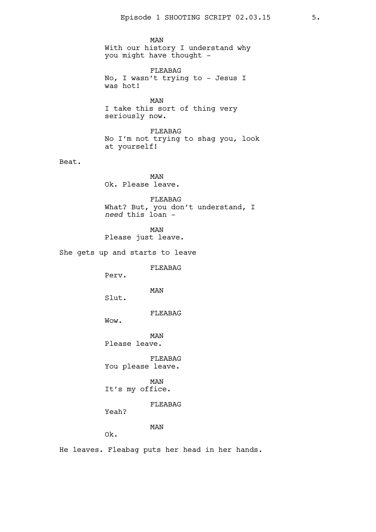MAN With our history I understand why you might have thought -

FLEABAG No, I wasn't trying to - Jesus I was hot!

MAN I take this sort of thing very seriously now.

FLEABAG No I'm not trying to shag you, look at yourself!

## Beat.

MAN Ok. Please leave.

FLEABAG What? But, you don't understand, I need this loan -

MAN Please just leave.

She gets up and starts to leave

FLEABAG

Perv.

MAN

Slut.

FLEABAG

Wow.

MAN Please leave.

FLEABAG You please leave.

MAN It's my office.

FLEABAG

Yeah?

MAN

Ok.

He leaves. Fleabag puts her head in her hands.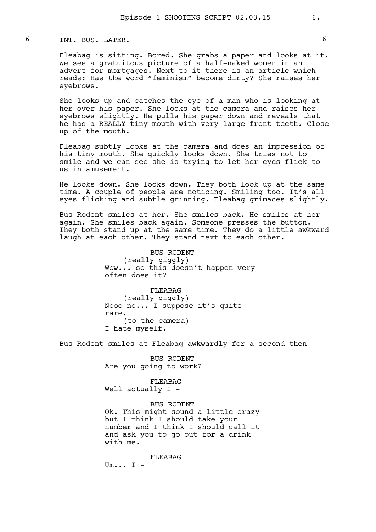## 6 6 INT. BUS. LATER.

Fleabag is sitting. Bored. She grabs a paper and looks at it. We see a gratuitous picture of a half-naked women in an advert for mortgages. Next to it there is an article which reads: Has the word "feminism" become dirty? She raises her eyebrows.

She looks up and catches the eye of a man who is looking at her over his paper. She looks at the camera and raises her eyebrows slightly. He pulls his paper down and reveals that he has a REALLY tiny mouth with very large front teeth. Close up of the mouth.

Fleabag subtly looks at the camera and does an impression of his tiny mouth. She quickly looks down. She tries not to smile and we can see she is trying to let her eyes flick to us in amusement.

He looks down. She looks down. They both look up at the same time. A couple of people are noticing. Smiling too. It's all eyes flicking and subtle grinning. Fleabag grimaces slightly.

Bus Rodent smiles at her. She smiles back. He smiles at her again. She smiles back again. Someone presses the button. They both stand up at the same time. They do a little awkward laugh at each other. They stand next to each other.

> BUS RODENT (really giggly) Wow... so this doesn't happen very often does it?

FLEABAG (really giggly) Nooo no... I suppose it's quite rare. (to the camera) I hate myself.

Bus Rodent smiles at Fleabag awkwardly for a second then -

BUS RODENT Are you going to work?

FLEABAG Well actually I -

BUS RODENT Ok. This might sound a little crazy but I think I should take your number and I think I should call it and ask you to go out for a drink with me.

FLEABAG Um...  $I -$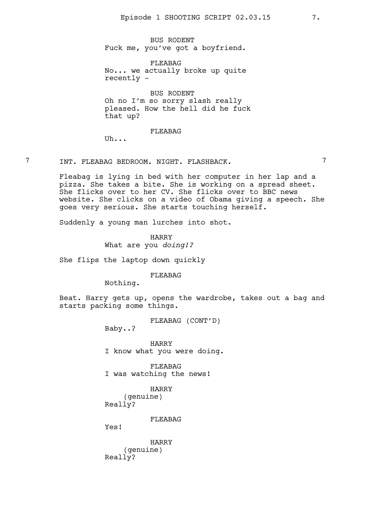BUS RODENT Fuck me, you've got a boyfriend.

FLEABAG No... we actually broke up quite recently -

BUS RODENT Oh no I'm so sorry slash really pleased. How the hell did he fuck that up?

#### FLEABAG

Uh...

# 7 7 INT. FLEABAG BEDROOM. NIGHT. FLASHBACK.

Fleabag is lying in bed with her computer in her lap and a pizza. She takes a bite. She is working on a spread sheet. She flicks over to her CV. She flicks over to BBC news website. She clicks on a video of Obama giving a speech. She goes very serious. She starts touching herself.

Suddenly a young man lurches into shot.

HARRY What are you doing!?

She flips the laptop down quickly

FLEABAG

Nothing.

Beat. Harry gets up, opens the wardrobe, takes out a bag and starts packing some things.

FLEABAG (CONT'D)

Baby..?

HARRY I know what you were doing.

FLEABAG I was watching the news!

HARRY (genuine) Really?

FLEABAG

Yes!

HARRY (genuine) Really?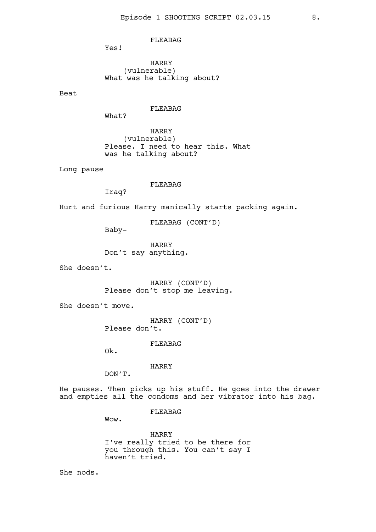FLEABAG

Yes!

HARRY (vulnerable) What was he talking about?

Beat

## FLEABAG

What?

HARRY (vulnerable) Please. I need to hear this. What was he talking about?

Long pause

#### FLEABAG

Iraq?

Hurt and furious Harry manically starts packing again.

FLEABAG (CONT'D)

Baby-

HARRY Don't say anything.

She doesn't.

HARRY (CONT'D) Please don't stop me leaving.

She doesn't move.

HARRY (CONT'D) Please don't.

FLEABAG

Ok.

HARRY

DON'T.

He pauses. Then picks up his stuff. He goes into the drawer and empties all the condoms and her vibrator into his bag.

FLEABAG

Wow.

HARRY I've really tried to be there for you through this. You can't say I haven't tried.

She nods.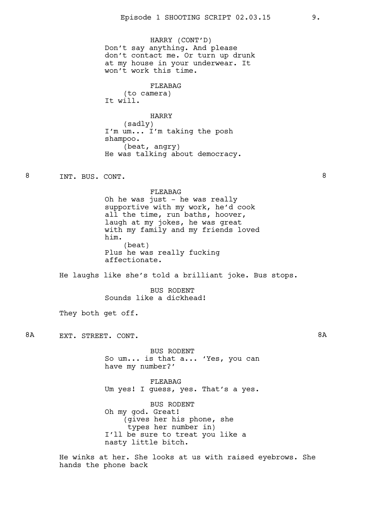HARRY (CONT'D) Don't say anything. And please don't contact me. Or turn up drunk at my house in your underwear. It won't work this time. FLEABAG (to camera) It will. HARRY (sadly) I'm um... I'm taking the posh shampoo. (beat, angry) He was talking about democracy. 8 INT. BUS. CONT. 8 FLEABAG Oh he was just - he was really supportive with my work, he'd cook all the time, run baths, hoover, laugh at my jokes, he was great with my family and my friends loved him. (beat) Plus he was really fucking affectionate. He laughs like she's told a brilliant joke. Bus stops. BUS RODENT Sounds like a dickhead! They both get off. 8A EXT. STREET. CONT. BUS RODENT So um... is that a... 'Yes, you can have my number?' FLEABAG Um yes! I guess, yes. That's a yes. BUS RODENT Oh my god. Great! (gives her his phone, she types her number in) I'll be sure to treat you like a nasty little bitch.

He winks at her. She looks at us with raised eyebrows. She hands the phone back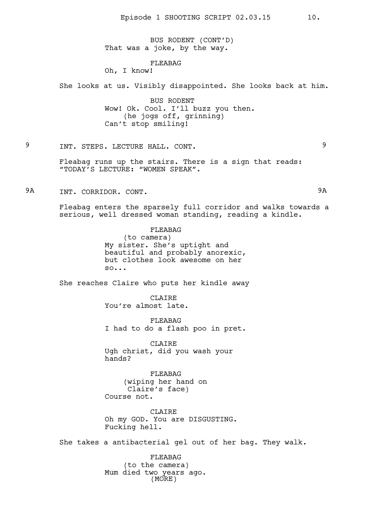BUS RODENT (CONT'D) That was a joke, by the way.

## FLEABAG

Oh, I know!

She looks at us. Visibly disappointed. She looks back at him.

BUS RODENT Wow! Ok. Cool. I'll buzz you then. (he jogs off, grinning) Can't stop smiling!

9 9 INT. STEPS. LECTURE HALL. CONT.

Fleabag runs up the stairs. There is a sign that reads: "TODAY'S LECTURE: "WOMEN SPEAK".

9A 9A INT. CORRIDOR. CONT.

Fleabag enters the sparsely full corridor and walks towards a serious, well dressed woman standing, reading a kindle.

> FLEABAG (to camera) My sister. She's uptight and beautiful and probably anorexic, but clothes look awesome on her so...

She reaches Claire who puts her kindle away

CLAIRE You're almost late.

FLEABAG I had to do a flash poo in pret.

CLAIRE Ugh christ, did you wash your hands?

FLEABAG (wiping her hand on Claire's face) Course not.

CLAIRE Oh my GOD. You are DISGUSTING. Fucking hell.

She takes a antibacterial gel out of her bag. They walk.

FLEABAG (to the camera) Mum died two years ago. (MORE)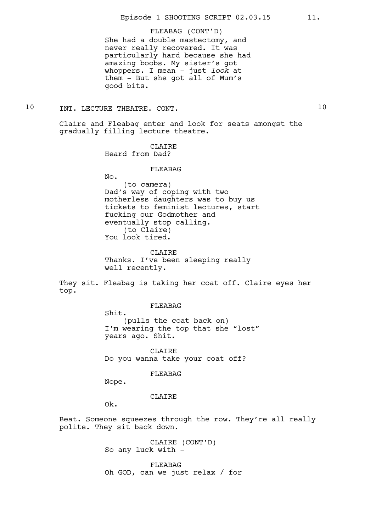## FLEABAG (CONT'D)

She had a double mastectomy, and never really recovered. It was particularly hard because she had amazing boobs. My sister's got whoppers. I mean - just  $look$  at them - But she got all of Mum's good bits.

# 10 TNT. LECTURE THEATRE. CONT. 20

No.

Claire and Fleabag enter and look for seats amongst the gradually filling lecture theatre.

> CLAIRE Heard from Dad?

## FLEABAG

(to camera) Dad's way of coping with two motherless daughters was to buy us tickets to feminist lectures, start fucking our Godmother and eventually stop calling. (to Claire) You look tired.

CLAIRE Thanks. I've been sleeping really well recently.

They sit. Fleabag is taking her coat off. Claire eyes her top.

#### FLEABAG

Shit. (pulls the coat back on) I'm wearing the top that she "lost" years ago. Shit.

CLAIRE Do you wanna take your coat off?

#### FLEABAG

Nope.

#### CLAIRE

Ok.

Beat. Someone squeezes through the row. They're all really polite. They sit back down.

> CLAIRE (CONT'D) So any luck with -

FLEABAG Oh GOD, can we just relax / for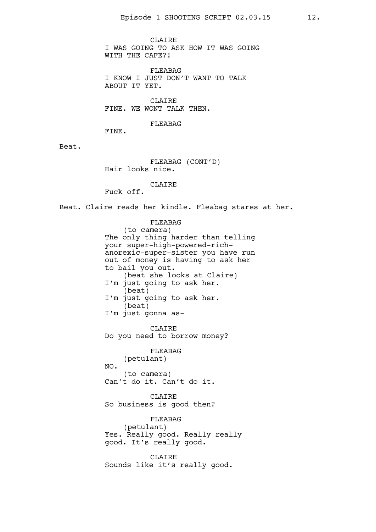CLAIRE I WAS GOING TO ASK HOW IT WAS GOING WITH THE CAFE?!

FLEABAG I KNOW I JUST DON'T WANT TO TALK ABOUT IT YET.

CLAIRE FINE. WE WONT TALK THEN.

### FLEABAG

FINE.

Beat.

FLEABAG (CONT'D) Hair looks nice.

CLAIRE

Fuck off.

Beat. Claire reads her kindle. Fleabag stares at her.

FLEABAG (to camera) The only thing harder than telling your super-high-powered-richanorexic-super-sister you have run out of money is having to ask her to bail you out. (beat she looks at Claire) I'm just going to ask her. (beat) I'm just going to ask her. (beat) I'm just gonna as-CLAIRE Do you need to borrow money? FLEABAG (petulant) NO. (to camera) Can't do it. Can't do it. CLAIRE So business is good then? FLEABAG

(petulant) Yes. Really good. Really really good. It's really good.

CLAIRE Sounds like it's really good.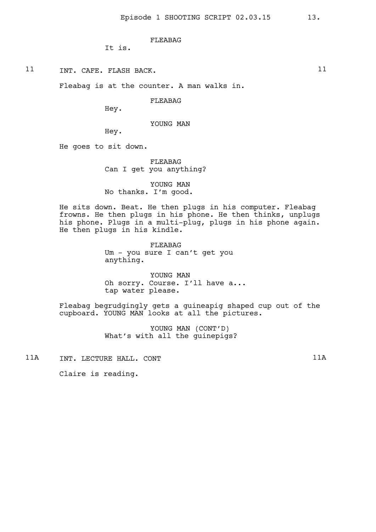FLEABAG

It is.

11 INT. CAFE. FLASH BACK. 11

Fleabag is at the counter. A man walks in.

FLEABAG

Hey.

## YOUNG MAN

Hey.

He goes to sit down.

FLEABAG Can I get you anything?

YOUNG MAN No thanks. I'm good.

He sits down. Beat. He then plugs in his computer. Fleabag frowns. He then plugs in his phone. He then thinks, unplugs his phone. Plugs in a multi-plug, plugs in his phone again. He then plugs in his kindle.

> FLEABAG Um - you sure I can't get you anything.

YOUNG MAN Oh sorry. Course. I'll have a... tap water please.

Fleabag begrudgingly gets a guineapig shaped cup out of the cupboard. YOUNG MAN looks at all the pictures.

> YOUNG MAN (CONT'D) What's with all the quinepigs?

11A INT. LECTURE HALL. CONT

Claire is reading.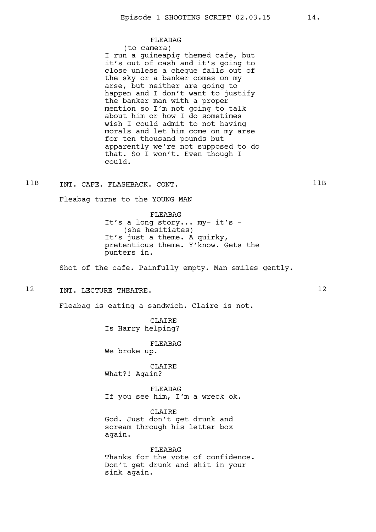### FLEABAG

(to camera) I run a guineapig themed cafe, but it's out of cash and it's going to close unless a cheque falls out of the sky or a banker comes on my arse, but neither are going to happen and I don't want to justify the banker man with a proper mention so I'm not going to talk about him or how I do sometimes wish I could admit to not having morals and let him come on my arse for ten thousand pounds but apparently we're not supposed to do that. So I won't. Even though I could.

11B INT. CAFE. FLASHBACK. CONT. 11B 11B

Fleabag turns to the YOUNG MAN

FLEABAG It's a long story... my- it's -(she hesitiates) It's just a theme. A quirky, pretentious theme. Y'know. Gets the punters in.

Shot of the cafe. Painfully empty. Man smiles gently.

12 INT. LECTURE THEATRE. 12

Fleabag is eating a sandwich. Claire is not.

CLAIRE Is Harry helping?

FLEABAG We broke up.

CLAIRE What?! Again?

FLEABAG If you see him, I'm a wreck ok.

CLAIRE God. Just don't get drunk and scream through his letter box again.

FLEABAG Thanks for the vote of confidence. Don't get drunk and shit in your sink again.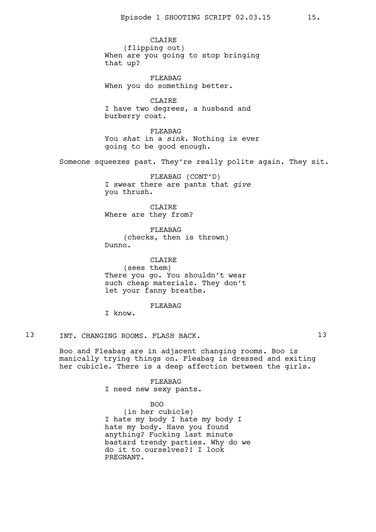CLAIRE (flipping out) When are you going to stop bringing that up?

FLEABAG When you do something better.

CLAIRE I have two degrees, a husband and burberry coat.

FLEABAG You shat in a sink. Nothing is ever going to be good enough.

Someone squeezes past. They're really polite again. They sit.

FLEABAG (CONT'D) I swear there are pants that give you thrush.

CLAIRE Where are they from?

FLEABAG (checks, then is thrown) Dunno.

CLAIRE (sees them) There you go. You shouldn't wear such cheap materials. They don't let your fanny breathe.

#### FLEABAG

I know.

## 13 INT. CHANGING ROOMS. FLASH BACK. 13

Boo and Fleabag are in adjacent changing rooms. Boo is manically trying things on. Fleabag is dressed and exiting her cubicle. There is a deep affection between the girls.

#### FLEABAG

I need new sexy pants.

## BOO

(in her cubicle) I hate my body I hate my body I hate my body. Have you found anything? Fucking last minute bastard trendy parties. Why do we do it to ourselves?! I look PREGNANT.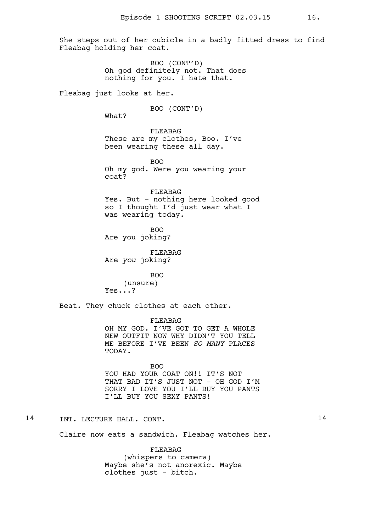She steps out of her cubicle in a badly fitted dress to find Fleabag holding her coat.

> BOO (CONT'D) Oh god definitely not. That does nothing for you. I hate that.

Fleabag just looks at her.

BOO (CONT'D)

What?

FLEABAG These are my clothes, Boo. I've been wearing these all day.

BOO Oh my god. Were you wearing your coat?

FLEABAG Yes. But - nothing here looked good so I thought I'd just wear what I was wearing today.

BOO Are you joking?

FLEABAG Are you joking?

BOO (unsure) Yes...?

Beat. They chuck clothes at each other.

FLEABAG

OH MY GOD. I'VE GOT TO GET A WHOLE NEW OUTFIT NOW WHY DIDN'T YOU TELL ME BEFORE I'VE BEEN SO MANY PLACES TODAY.

BOO

YOU HAD YOUR COAT ON!! IT'S NOT THAT BAD IT'S JUST NOT - OH GOD I'M SORRY I LOVE YOU I'LL BUY YOU PANTS I'LL BUY YOU SEXY PANTS!

14 INT. LECTURE HALL. CONT. 14

Claire now eats a sandwich. Fleabag watches her.

FLEABAG (whispers to camera) Maybe she's not anorexic. Maybe clothes just - bitch.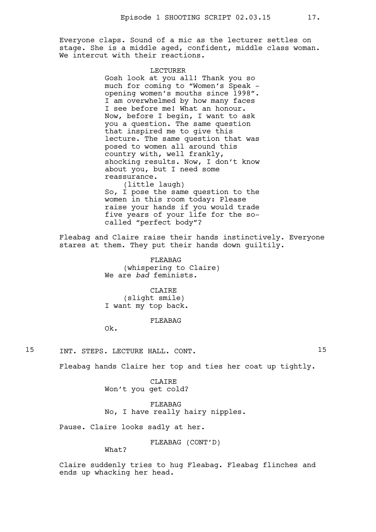Everyone claps. Sound of a mic as the lecturer settles on stage. She is a middle aged, confident, middle class woman. We intercut with their reactions.

#### LECTURER

Gosh look at you all! Thank you so much for coming to "Women's Speak opening women's mouths since 1998". I am overwhelmed by how many faces I see before me! What an honour. Now, before I begin, I want to ask you a question. The same question that inspired me to give this lecture. The same question that was posed to women all around this country with, well frankly, shocking results. Now, I don't know about you, but I need some reassurance. (little laugh) So, I pose the same question to the women in this room today: Please raise your hands if you would trade five years of your life for the socalled "perfect body"?

Fleabag and Claire raise their hands instinctively. Everyone stares at them. They put their hands down guiltily.

> FLEABAG (whispering to Claire) We are bad feminists.

CLAIRE (slight smile) I want my top back.

## FLEABAG

Ok.

15 INT. STEPS. LECTURE HALL. CONT. 15

Fleabag hands Claire her top and ties her coat up tightly.

CLAIRE Won't you get cold?

FLEABAG No, I have really hairy nipples.

Pause. Claire looks sadly at her.

FLEABAG (CONT'D)

What?

Claire suddenly tries to hug Fleabag. Fleabag flinches and ends up whacking her head.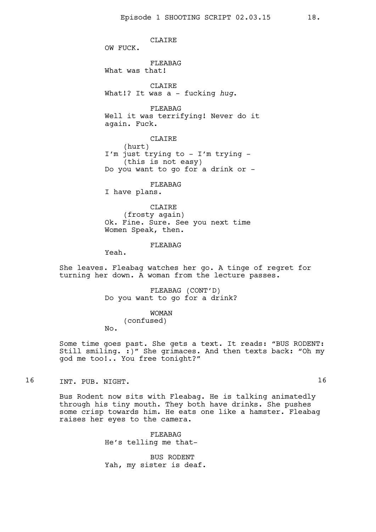CLAIRE OW FUCK. FLEABAG What was that! CLAIRE What!? It was a - fucking hug. FLEABAG Well it was terrifying! Never do it again. Fuck.

CLAIRE (hurt) I'm just trying to - I'm trying - (this is not easy) Do you want to go for a drink or -

FLEABAG I have plans.

CLAIRE (frosty again) Ok. Fine. Sure. See you next time Women Speak, then.

FLEABAG

Yeah.

She leaves. Fleabag watches her go. A tinge of regret for turning her down. A woman from the lecture passes.

> FLEABAG (CONT'D) Do you want to go for a drink?

WOMAN (confused) No.

Some time goes past. She gets a text. It reads: "BUS RODENT: Still smiling. :)" She grimaces. And then texts back: "Oh my god me too!.. You free tonight?"

16 INT. PUB. NIGHT. 16

Bus Rodent now sits with Fleabag. He is talking animatedly through his tiny mouth. They both have drinks. She pushes some crisp towards him. He eats one like a hamster. Fleabag raises her eyes to the camera.

> FLEABAG He's telling me that-

BUS RODENT Yah, my sister is deaf.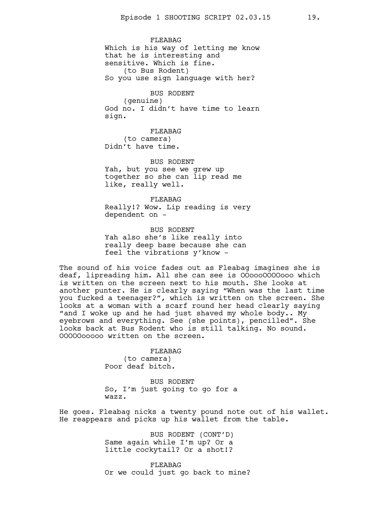FLEABAG Which is his way of letting me know that he is interesting and sensitive. Which is fine. (to Bus Rodent) So you use sign language with her?

BUS RODENT (genuine) God no. I didn't have time to learn sign.

FLEABAG (to camera) Didn't have time.

BUS RODENT Yah, but you see we grew up together so she can lip read me like, really well.

FLEABAG Really!? Wow. Lip reading is very dependent on -

BUS RODENT Yah also she's like really into really deep base because she can feel the vibrations y'know -

The sound of his voice fades out as Fleabag imagines she is deaf, lipreading him. All she can see is 0000000000000 which is written on the screen next to his mouth. She looks at another punter. He is clearly saying "When was the last time you fucked a teenager?", which is written on the screen. She looks at a woman with a scarf round her head clearly saying "and I woke up and he had just shaved my whole body.. My eyebrows and everything. See (she points), pencilled". She looks back at Bus Rodent who is still talking. No sound. OOOOOooooo written on the screen.

> FLEABAG (to camera) Poor deaf bitch.

BUS RODENT So, I'm just going to go for a wazz.

He goes. Fleabag nicks a twenty pound note out of his wallet. He reappears and picks up his wallet from the table.

> BUS RODENT (CONT'D) Same again while I'm up? Or a little cockytail? Or a shot!?

FLEABAG Or we could just go back to mine?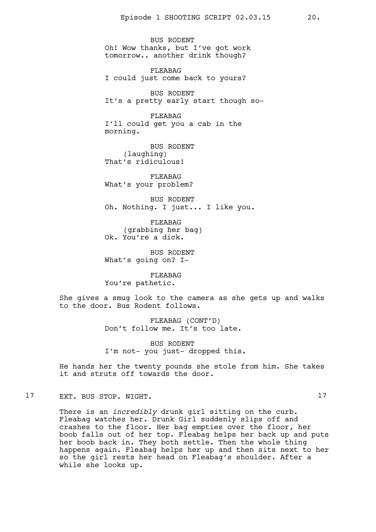BUS RODENT Oh! Wow thanks, but I've got work tomorrow.. another drink though?

FLEABAG I could just come back to yours?

BUS RODENT It's a pretty early start though so-

FLEABAG I'll could get you a cab in the morning.

BUS RODENT (laughing) That's ridiculous!

FLEABAG What's your problem?

BUS RODENT Oh. Nothing. I just... I like you.

FLEABAG (grabbing her bag) Ok. You're a dick.

BUS RODENT What's going on? I-

FLEABAG You're pathetic.

She gives a smug look to the camera as she gets up and walks to the door. Bus Rodent follows.

> FLEABAG (CONT'D) Don't follow me. It's too late.

BUS RODENT I'm not- you just- dropped this.

He hands her the twenty pounds she stole from him. She takes it and struts off towards the door.

17 EXT. BUS STOP. NIGHT. 17

There is an *incredibly* drunk girl sitting on the curb. Fleabag watches her. Drunk Girl suddenly slips off and crashes to the floor. Her bag empties over the floor, her boob falls out of her top. Fleabag helps her back up and puts her boob back in. They both settle. Then the whole thing happens again. Fleabag helps her up and then sits next to her so the girl rests her head on Fleabag's shoulder. After a while she looks up.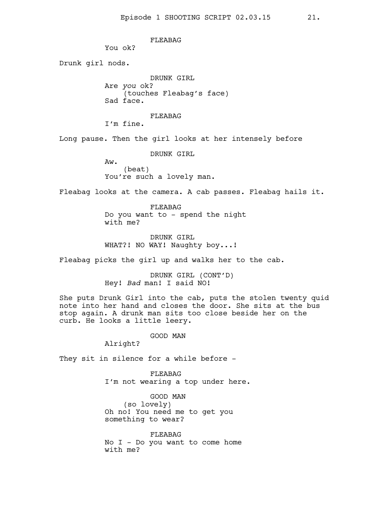FLEABAG You ok? Drunk girl nods. DRUNK GIRL Are you ok? (touches Fleabag's face) Sad face. FLEABAG I'm fine. Long pause. Then the girl looks at her intensely before DRUNK GIRL Aw. (beat) You're such a lovely man. Fleabag looks at the camera. A cab passes. Fleabag hails it. FLEABAG Do you want to - spend the night with me? DRUNK GIRL WHAT?! NO WAY! Naughty boy...! Fleabag picks the girl up and walks her to the cab. DRUNK GIRL (CONT'D) Hey! Bad man! I said NO! She puts Drunk Girl into the cab, puts the stolen twenty quid note into her hand and closes the door. She sits at the bus stop again. A drunk man sits too close beside her on the curb. He looks a little leery. GOOD MAN Alright? They sit in silence for a while before -FLEABAG I'm not wearing a top under here. GOOD MAN (so lovely) Oh no! You need me to get you something to wear? FLEABAG

No I - Do you want to come home with me?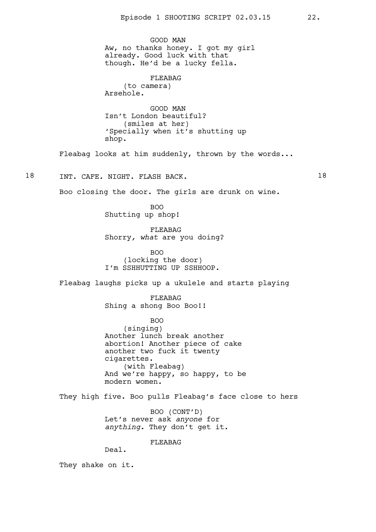GOOD MAN Aw, no thanks honey. I got my girl already. Good luck with that though. He'd be a lucky fella.

FLEABAG (to camera) Arsehole.

GOOD MAN Isn't London beautiful? (smiles at her) 'Specially when it's shutting up shop.

Fleabag looks at him suddenly, thrown by the words...

18 INT. CAFE. NIGHT. FLASH BACK. 18

Boo closing the door. The girls are drunk on wine.

BOO Shutting up shop!

FLEABAG Shorry, what are you doing?

BOO (locking the door) I'm SSHHUTTING UP SSHHOOP.

Fleabag laughs picks up a ukulele and starts playing

FLEABAG Shing a shong Boo Boo!!

BOO (singing) Another lunch break another abortion! Another piece of cake another two fuck it twenty cigarettes. (with Fleabag) And we're happy, so happy, to be modern women.

They high five. Boo pulls Fleabag's face close to hers

BOO (CONT'D) Let's never ask anyone for anything. They don't get it.

FLEABAG

Deal.

They shake on it.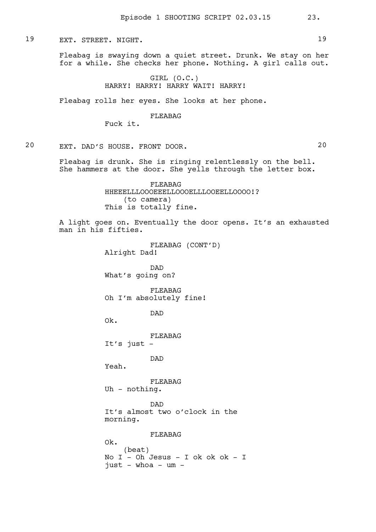# 19 19 EXT. STREET. NIGHT.

Fleabag is swaying down a quiet street. Drunk. We stay on her for a while. She checks her phone. Nothing. A girl calls out.

## GIRL (O.C.) HARRY! HARRY! HARRY WAIT! HARRY!

Fleabag rolls her eyes. She looks at her phone.

## FLEABAG

Fuck it.

20 20 EXT. DAD'S HOUSE. FRONT DOOR.

Fleabag is drunk. She is ringing relentlessly on the bell. She hammers at the door. She yells through the letter box.

> FLEABAG HHEEELLLOOOEEELLOOOELLLOOEELLOOOO!?

(to camera) This is totally fine.

A light goes on. Eventually the door opens. It's an exhausted man in his fifties.

> FLEABAG (CONT'D) Alright Dad! DAD What's going on? FLEABAG Oh I'm absolutely fine! DAD Ok. FLEABAG It's just - DAD Yeah. FLEABAG Uh - nothing. DAD It's almost two o'clock in the morning. FLEABAG Ok. (beat) No I - Oh Jesus - I ok ok ok - I  $just - whoa - um -$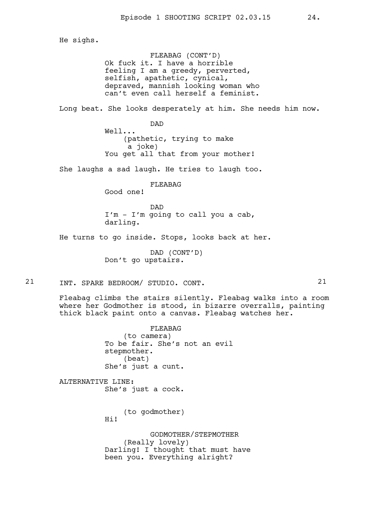He sighs.

FLEABAG (CONT'D) Ok fuck it. I have a horrible feeling I am a greedy, perverted, selfish, apathetic, cynical, depraved, mannish looking woman who can't even call herself a feminist.

Long beat. She looks desperately at him. She needs him now.

DAD Well... (pathetic, trying to make a joke) You get all that from your mother!

She laughs a sad laugh. He tries to laugh too.

FLEABAG

Good one!

DAD I'm - I'm going to call you a cab, darling.

He turns to go inside. Stops, looks back at her.

DAD (CONT'D) Don't go upstairs.

21 21 INT. SPARE BEDROOM/ STUDIO. CONT.

Fleabag climbs the stairs silently. Fleabag walks into a room where her Godmother is stood, in bizarre overralls, painting thick black paint onto a canvas. Fleabag watches her.

> FLEABAG (to camera) To be fair. She's not an evil stepmother. (beat) She's just a cunt.

ALTERNATIVE LINE: She's just a cock.

> (to godmother) Hi!

GODMOTHER/STEPMOTHER (Really lovely) Darling! I thought that must have been you. Everything alright?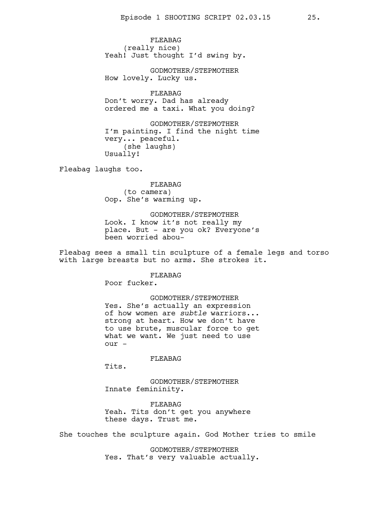FLEABAG (really nice) Yeah! Just thought I'd swing by.

GODMOTHER/STEPMOTHER How lovely. Lucky us.

FLEABAG Don't worry. Dad has already ordered me a taxi. What you doing?

GODMOTHER/STEPMOTHER I'm painting. I find the night time very... peaceful. (she laughs) Usually!

Fleabag laughs too.

FLEABAG (to camera) Oop. She's warming up.

GODMOTHER/STEPMOTHER Look. I know it's not really my place. But - are you ok? Everyone's been worried abou-

Fleabag sees a small tin sculpture of a female legs and torso with large breasts but no arms. She strokes it.

FLEABAG

Poor fucker.

GODMOTHER/STEPMOTHER Yes. She's actually an expression of how women are subtle warriors... strong at heart. How we don't have to use brute, muscular force to get what we want. We just need to use our -

FLEABAG

Tits.

GODMOTHER/STEPMOTHER Innate femininity.

FLEABAG Yeah. Tits don't get you anywhere these days. Trust me.

She touches the sculpture again. God Mother tries to smile

GODMOTHER/STEPMOTHER Yes. That's very valuable actually.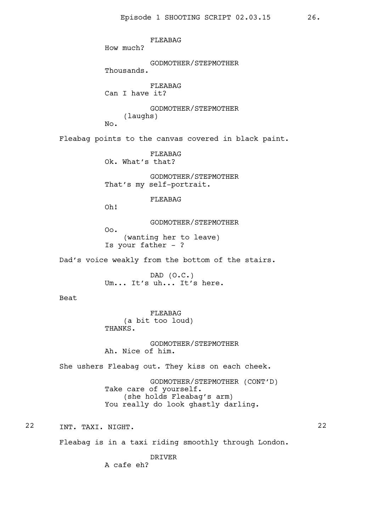FLEABAG How much? GODMOTHER/STEPMOTHER Thousands. FLEABAG Can I have it? GODMOTHER/STEPMOTHER (laughs) No. Fleabag points to the canvas covered in black paint. FLEABAG Ok. What's that? GODMOTHER/STEPMOTHER That's my self-portrait. FLEABAG Oh! GODMOTHER/STEPMOTHER Oo. (wanting her to leave) Is your father - ? Dad's voice weakly from the bottom of the stairs. DAD (O.C.) Um... It's uh... It's here. Beat FLEABAG (a bit too loud) THANKS. GODMOTHER/STEPMOTHER Ah. Nice of him. She ushers Fleabag out. They kiss on each cheek. GODMOTHER/STEPMOTHER (CONT'D) Take care of yourself. (she holds Fleabag's arm) You really do look ghastly darling. 22 INT. TAXI. NIGHT. 22 Fleabag is in a taxi riding smoothly through London. DRIVER A cafe eh?